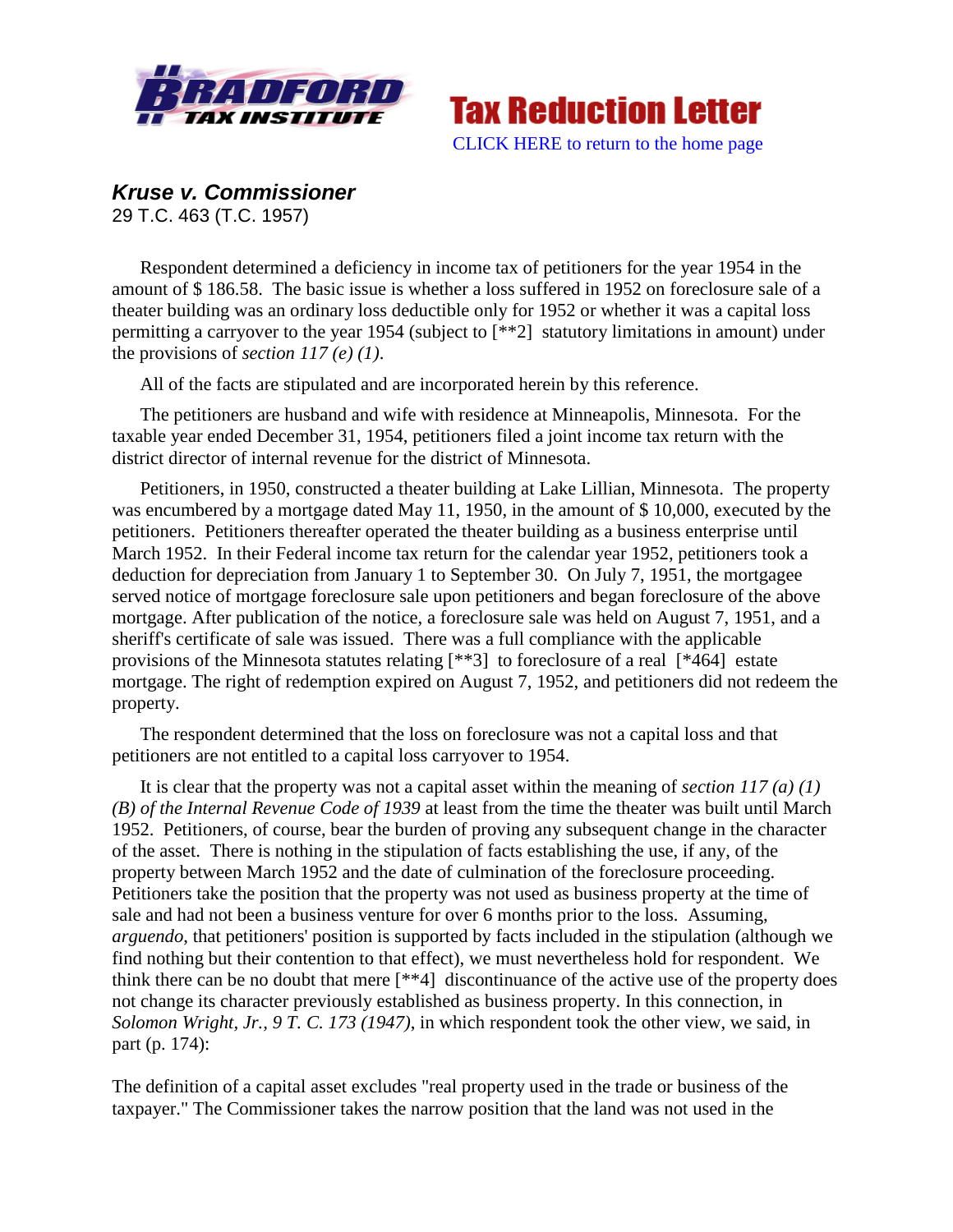



## *Kruse v. Commissioner*

29 T.C. 463 (T.C. 1957)

Respondent determined a deficiency in income tax of petitioners for the year 1954 in the amount of \$ 186.58. The basic issue is whether a loss suffered in 1952 on foreclosure sale of a theater building was an ordinary loss deductible only for 1952 or whether it was a capital loss permitting a carryover to the year 1954 (subject to [\*\*2] statutory limitations in amount) under the provisions of *section 117 (e) (1)*.

All of the facts are stipulated and are incorporated herein by this reference.

The petitioners are husband and wife with residence at Minneapolis, Minnesota. For the taxable year ended December 31, 1954, petitioners filed a joint income tax return with the district director of internal revenue for the district of Minnesota.

Petitioners, in 1950, constructed a theater building at Lake Lillian, Minnesota. The property was encumbered by a mortgage dated May 11, 1950, in the amount of \$ 10,000, executed by the petitioners. Petitioners thereafter operated the theater building as a business enterprise until March 1952. In their Federal income tax return for the calendar year 1952, petitioners took a deduction for depreciation from January 1 to September 30. On July 7, 1951, the mortgagee served notice of mortgage foreclosure sale upon petitioners and began foreclosure of the above mortgage. After publication of the notice, a foreclosure sale was held on August 7, 1951, and a sheriff's certificate of sale was issued. There was a full compliance with the applicable provisions of the Minnesota statutes relating [\*\*3] to foreclosure of a real [\*464] estate mortgage. The right of redemption expired on August 7, 1952, and petitioners did not redeem the property.

The respondent determined that the loss on foreclosure was not a capital loss and that petitioners are not entitled to a capital loss carryover to 1954.

It is clear that the property was not a capital asset within the meaning of *section 117 (a) (1) (B) of the Internal Revenue Code of 1939* at least from the time the theater was built until March 1952. Petitioners, of course, bear the burden of proving any subsequent change in the character of the asset. There is nothing in the stipulation of facts establishing the use, if any, of the property between March 1952 and the date of culmination of the foreclosure proceeding. Petitioners take the position that the property was not used as business property at the time of sale and had not been a business venture for over 6 months prior to the loss. Assuming, *arguendo*, that petitioners' position is supported by facts included in the stipulation (although we find nothing but their contention to that effect), we must nevertheless hold for respondent. We think there can be no doubt that mere [\*\*4] discontinuance of the active use of the property does not change its character previously established as business property. In this connection, in *Solomon Wright, Jr., 9 T. C. 173 (1947)*, in which respondent took the other view, we said, in part (p. 174):

The definition of a capital asset excludes "real property used in the trade or business of the taxpayer." The Commissioner takes the narrow position that the land was not used in the